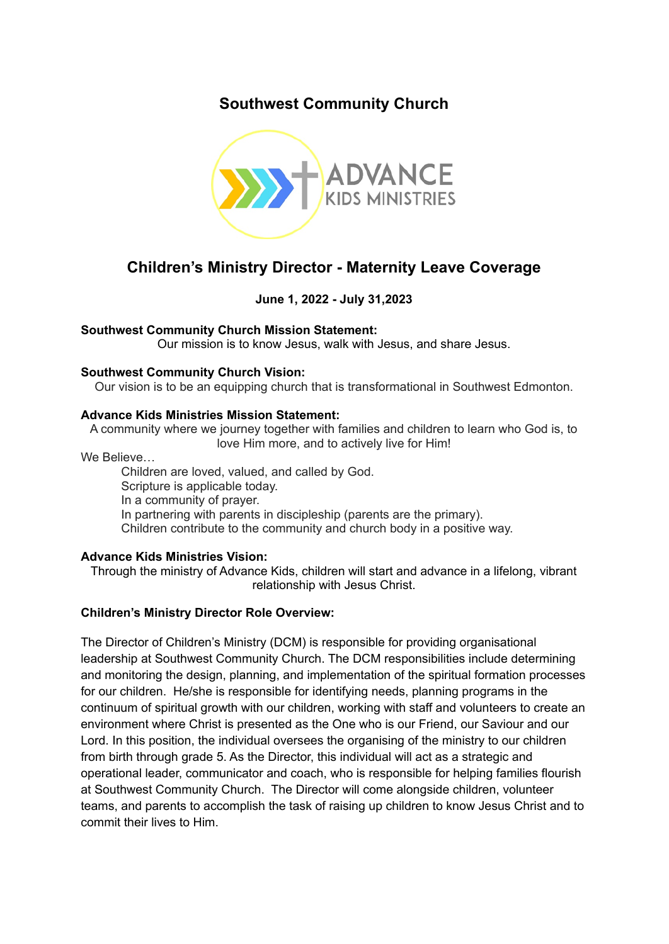# **Southwest Community Church**



# **Children's Ministry Director - Maternity Leave Coverage**

## **June 1, 2022 - July 31,2023**

### **Southwest Community Church Mission Statement:**

Our mission is to know Jesus, walk with Jesus, and share Jesus.

### **Southwest Community Church Vision:**

Our vision is to be an equipping church that is transformational in Southwest Edmonton.

#### **Advance Kids Ministries Mission Statement:**

A community where we journey together with families and children to learn who God is, to love Him more, and to actively live for Him!

We Believe…

Children are loved, valued, and called by God. Scripture is applicable today. In a community of prayer. In partnering with parents in discipleship (parents are the primary). Children contribute to the community and church body in a positive way.

### **Advance Kids Ministries Vision:**

Through the ministry of Advance Kids, children will start and advance in a lifelong, vibrant relationship with Jesus Christ.

### **Children's Ministry Director Role Overview:**

The Director of Children's Ministry (DCM) is responsible for providing organisational leadership at Southwest Community Church. The DCM responsibilities include determining and monitoring the design, planning, and implementation of the spiritual formation processes for our children. He/she is responsible for identifying needs, planning programs in the continuum of spiritual growth with our children, working with staff and volunteers to create an environment where Christ is presented as the One who is our Friend, our Saviour and our Lord. In this position, the individual oversees the organising of the ministry to our children from birth through grade 5. As the Director, this individual will act as a strategic and operational leader, communicator and coach, who is responsible for helping families flourish at Southwest Community Church. The Director will come alongside children, volunteer teams, and parents to accomplish the task of raising up children to know Jesus Christ and to commit their lives to Him.